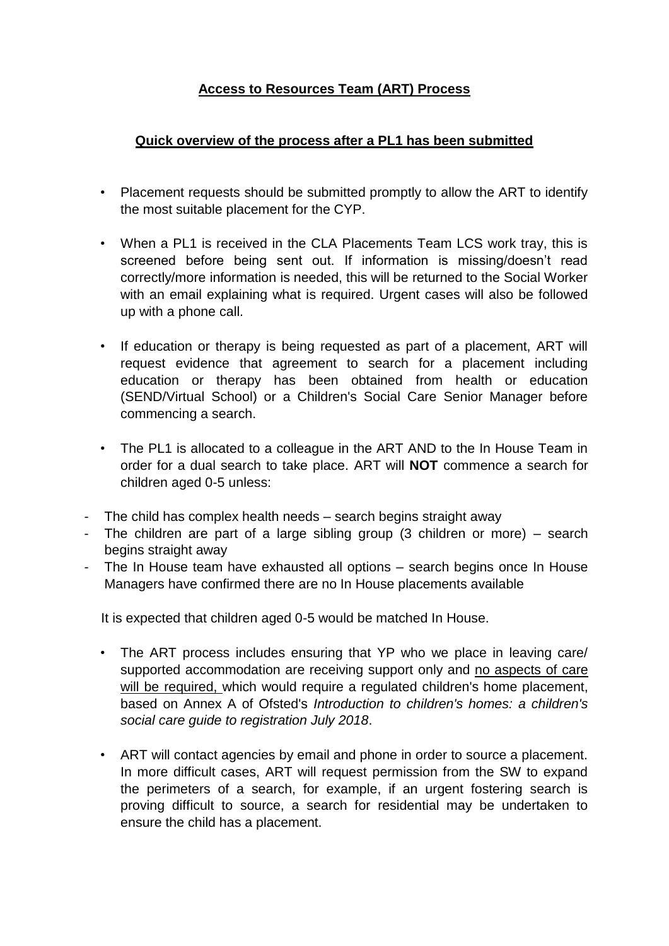## **Access to Resources Team (ART) Process**

## **Quick overview of the process after a PL1 has been submitted**

- Placement requests should be submitted promptly to allow the ART to identify the most suitable placement for the CYP.
- When a PL1 is received in the CLA Placements Team LCS work tray, this is screened before being sent out. If information is missing/doesn't read correctly/more information is needed, this will be returned to the Social Worker with an email explaining what is required. Urgent cases will also be followed up with a phone call.
- If education or therapy is being requested as part of a placement, ART will request evidence that agreement to search for a placement including education or therapy has been obtained from health or education (SEND/Virtual School) or a Children's Social Care Senior Manager before commencing a search.
- The PL1 is allocated to a colleague in the ART AND to the In House Team in order for a dual search to take place. ART will **NOT** commence a search for children aged 0-5 unless:
- The child has complex health needs search begins straight away
- The children are part of a large sibling group (3 children or more) search begins straight away
- The In House team have exhausted all options search begins once In House Managers have confirmed there are no In House placements available

It is expected that children aged 0-5 would be matched In House.

- The ART process includes ensuring that YP who we place in leaving care/ supported accommodation are receiving support only and no aspects of care will be required, which would require a regulated children's home placement, based on Annex A of Ofsted's *Introduction to children's homes: a children's social care guide to registration July 2018*.
- ART will contact agencies by email and phone in order to source a placement. In more difficult cases, ART will request permission from the SW to expand the perimeters of a search, for example, if an urgent fostering search is proving difficult to source, a search for residential may be undertaken to ensure the child has a placement.